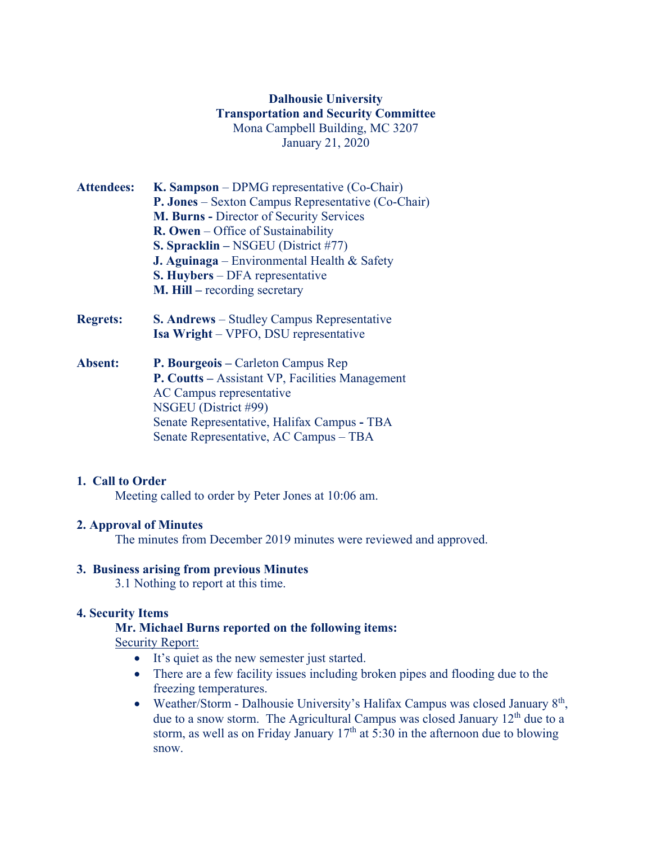# **Dalhousie University Transportation and Security Committee** Mona Campbell Building, MC 3207 January 21, 2020

| <b>Attendees:</b> | <b>K. Sampson</b> – DPMG representative $(Co-Chair)$   |
|-------------------|--------------------------------------------------------|
|                   | P. Jones – Sexton Campus Representative (Co-Chair)     |
|                   | M. Burns - Director of Security Services               |
|                   | R. Owen - Office of Sustainability                     |
|                   | S. Spracklin – NSGEU (District #77)                    |
|                   | <b>J. Aguinaga</b> – Environmental Health $\&$ Safety  |
|                   | <b>S. Huybers</b> – DFA representative                 |
|                   | $M.$ Hill – recording secretary                        |
| <b>Regrets:</b>   | <b>S. Andrews</b> – Studley Campus Representative      |
|                   | <b>Isa Wright</b> – VPFO, DSU representative           |
| <b>Absent:</b>    | <b>P. Bourgeois – Carleton Campus Rep</b>              |
|                   | <b>P. Coutts</b> – Assistant VP, Facilities Management |
|                   | AC Campus representative                               |
|                   | NSGEU (District #99)                                   |
|                   | Senate Representative, Halifax Campus - TBA            |
|                   | Senate Representative, AC Campus - TBA                 |
|                   |                                                        |

### **1. Call to Order**

Meeting called to order by Peter Jones at 10:06 am.

#### **2. Approval of Minutes**

The minutes from December 2019 minutes were reviewed and approved.

### **3. Business arising from previous Minutes**

3.1 Nothing to report at this time.

#### **4. Security Items**

#### **Mr. Michael Burns reported on the following items:**

Security Report:

- It's quiet as the new semester just started.
- There are a few facility issues including broken pipes and flooding due to the freezing temperatures.
- Weather/Storm Dalhousie University's Halifax Campus was closed January  $8<sup>th</sup>$ , due to a snow storm. The Agricultural Campus was closed January  $12<sup>th</sup>$  due to a storm, as well as on Friday January  $17<sup>th</sup>$  at 5:30 in the afternoon due to blowing snow.